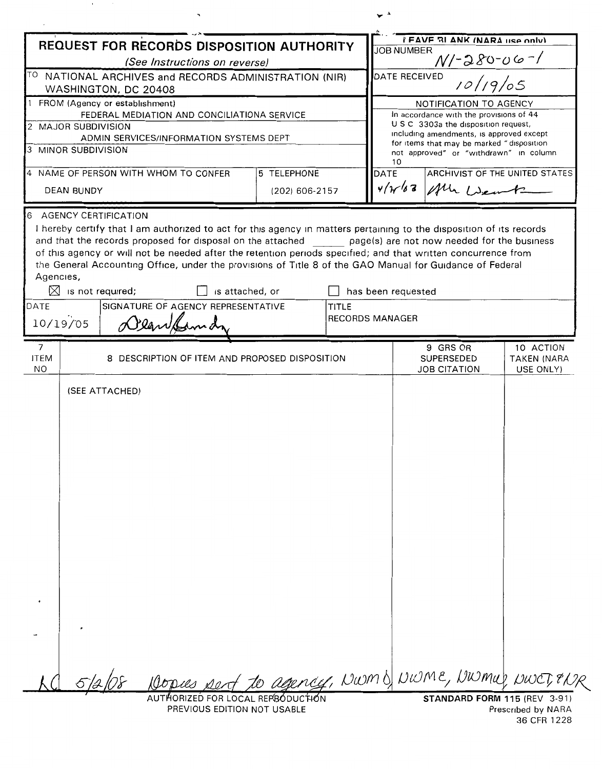| REQUEST FOR RECORDS DISPOSITION AUTHORITY<br><sup>TO</sup> NATIONAL ARCHIVES and RECORDS ADMINISTRATION (NIR)<br>WASHINGTON, DC 20408<br>1 FROM (Agency or establishment)<br>2 MAJOR SUBDIVISION<br>3 MINOR SUBDIVISION<br><b>DEAN BUNDY</b><br>6 AGENCY CERTIFICATION<br>I hereby certify that I am authorized to act for this agency in matters pertaining to the disposition of its records<br>and that the records proposed for disposal on the attached page(s) are not now needed for the business | (See Instructions on reverse)<br>FEDERAL MEDIATION AND CONCILIATIONA SERVICE<br>ADMIN SERVICES/INFORMATION SYSTEMS DEPT | 5 TELEPHONE |                                      | <b>JOB NUMBER</b><br>DATE RECEIVED | FAVE 31 ANK (NARA use only)<br>$\frac{N/2800067}{N}$<br>NOTIFICATION TO AGENCY<br>In accordance with the provisions of 44<br>U S C 3303a the disposition request,<br>including amendments, is approved except<br>for items that may be marked "disposition |                                 |
|----------------------------------------------------------------------------------------------------------------------------------------------------------------------------------------------------------------------------------------------------------------------------------------------------------------------------------------------------------------------------------------------------------------------------------------------------------------------------------------------------------|-------------------------------------------------------------------------------------------------------------------------|-------------|--------------------------------------|------------------------------------|------------------------------------------------------------------------------------------------------------------------------------------------------------------------------------------------------------------------------------------------------------|---------------------------------|
|                                                                                                                                                                                                                                                                                                                                                                                                                                                                                                          |                                                                                                                         |             |                                      |                                    |                                                                                                                                                                                                                                                            |                                 |
|                                                                                                                                                                                                                                                                                                                                                                                                                                                                                                          |                                                                                                                         |             |                                      |                                    |                                                                                                                                                                                                                                                            |                                 |
|                                                                                                                                                                                                                                                                                                                                                                                                                                                                                                          |                                                                                                                         |             |                                      |                                    |                                                                                                                                                                                                                                                            |                                 |
|                                                                                                                                                                                                                                                                                                                                                                                                                                                                                                          |                                                                                                                         |             |                                      |                                    |                                                                                                                                                                                                                                                            |                                 |
|                                                                                                                                                                                                                                                                                                                                                                                                                                                                                                          |                                                                                                                         |             |                                      |                                    |                                                                                                                                                                                                                                                            |                                 |
|                                                                                                                                                                                                                                                                                                                                                                                                                                                                                                          |                                                                                                                         |             |                                      |                                    |                                                                                                                                                                                                                                                            |                                 |
|                                                                                                                                                                                                                                                                                                                                                                                                                                                                                                          |                                                                                                                         |             |                                      |                                    | not approved" or "withdrawn" in column                                                                                                                                                                                                                     |                                 |
|                                                                                                                                                                                                                                                                                                                                                                                                                                                                                                          |                                                                                                                         |             | 4 NAME OF PERSON WITH WHOM TO CONFER |                                    |                                                                                                                                                                                                                                                            |                                 |
|                                                                                                                                                                                                                                                                                                                                                                                                                                                                                                          |                                                                                                                         |             | <b>DATE</b><br>(202) 606-2157        |                                    | $v/\gamma/\gamma$ 3<br>Mr Went                                                                                                                                                                                                                             | ARCHIVIST OF THE UNITED STATES  |
|                                                                                                                                                                                                                                                                                                                                                                                                                                                                                                          |                                                                                                                         |             |                                      |                                    |                                                                                                                                                                                                                                                            |                                 |
| of this agency or will not be needed after the retention periods specified; and that written concurrence from<br>the General Accounting Office, under the provisions of Title 8 of the GAO Manual for Guidance of Federal<br>Agencies,<br>$\bowtie$<br>is not required;<br>DATE                                                                                                                                                                                                                          | is attached, or<br>SIGNATURE OF AGENCY REPRESENTATIVE                                                                   |             | TITLE                                | has been requested                 |                                                                                                                                                                                                                                                            |                                 |
| 10/19/05                                                                                                                                                                                                                                                                                                                                                                                                                                                                                                 | Dearbornd                                                                                                               |             |                                      | <b>RECORDS MANAGER</b>             |                                                                                                                                                                                                                                                            |                                 |
| $\overline{7}$<br><b>ITEM</b>                                                                                                                                                                                                                                                                                                                                                                                                                                                                            | 8 DESCRIPTION OF ITEM AND PROPOSED DISPOSITION                                                                          |             |                                      |                                    | 9 GRS OR<br><b>SUPERSEDED</b>                                                                                                                                                                                                                              | 10 ACTION<br><b>TAKEN (NARA</b> |
| NO.<br>(SEE ATTACHED)                                                                                                                                                                                                                                                                                                                                                                                                                                                                                    |                                                                                                                         |             |                                      |                                    | <b>JOB CITATION</b>                                                                                                                                                                                                                                        | USE ONLY)                       |
|                                                                                                                                                                                                                                                                                                                                                                                                                                                                                                          |                                                                                                                         |             |                                      |                                    |                                                                                                                                                                                                                                                            |                                 |
|                                                                                                                                                                                                                                                                                                                                                                                                                                                                                                          |                                                                                                                         |             |                                      |                                    |                                                                                                                                                                                                                                                            |                                 |
|                                                                                                                                                                                                                                                                                                                                                                                                                                                                                                          |                                                                                                                         |             |                                      |                                    |                                                                                                                                                                                                                                                            |                                 |
|                                                                                                                                                                                                                                                                                                                                                                                                                                                                                                          |                                                                                                                         |             |                                      |                                    |                                                                                                                                                                                                                                                            |                                 |
|                                                                                                                                                                                                                                                                                                                                                                                                                                                                                                          |                                                                                                                         |             |                                      |                                    |                                                                                                                                                                                                                                                            |                                 |
|                                                                                                                                                                                                                                                                                                                                                                                                                                                                                                          |                                                                                                                         |             |                                      |                                    |                                                                                                                                                                                                                                                            |                                 |
|                                                                                                                                                                                                                                                                                                                                                                                                                                                                                                          |                                                                                                                         |             |                                      |                                    |                                                                                                                                                                                                                                                            |                                 |
|                                                                                                                                                                                                                                                                                                                                                                                                                                                                                                          |                                                                                                                         |             |                                      |                                    |                                                                                                                                                                                                                                                            |                                 |
|                                                                                                                                                                                                                                                                                                                                                                                                                                                                                                          |                                                                                                                         |             |                                      |                                    |                                                                                                                                                                                                                                                            |                                 |
|                                                                                                                                                                                                                                                                                                                                                                                                                                                                                                          | Dopus pert to agency, NWMD NWME, NWMUL NWET TUR                                                                         |             |                                      |                                    |                                                                                                                                                                                                                                                            |                                 |

 $\mathbf{r}$ 

PREVIOUS EDITION NOT USABLE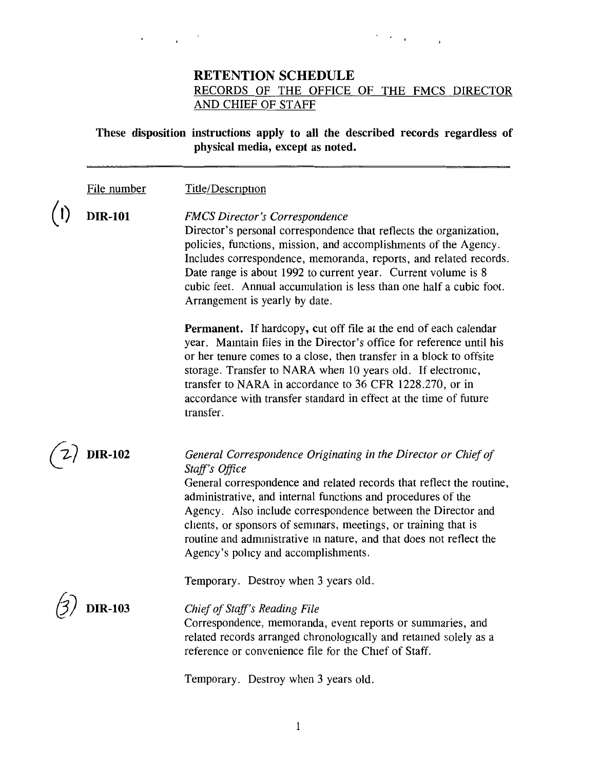### **RETENTION SCHEDULE**  RECORDS OF THE OFFICE OF THE FMCS DIRECTOR AND CHIEF OF STAFF

#### These disposition instructions apply to all the described records regardless of physical media, except as noted.

File number Title/Description

> *FMCS Director's Correspondence*  Director's personal correspondence that reflects the organization, policies, functions, mission, and accomplishments of the Agency. Includes correspondence, memoranda, reports, and related records. Date range is about 1992 to current year. Current volume is 8 cubic feet. Annual accumulation is less than one half a cubic foot. Arrangement is yearly by date.

**Permanent.** If hardcopy, cut off file at the end of each calendar year. Mamtain files in the Director's office for reference until his or her tenure comes to a close, then transfer in a block to offsite storage. Transfer to NARA when 10 years old. If electromc, transfer to NARA in accordance to 36 CFR 1228.270, or in accordance with transfer standard in effect at the time of future transfer.

*{j7* **DIR-102** 

( I) **DIR-101** 

#### *General Correspondence Originating in the Director or Chief of Staff's Office*

General correspondence and related records that reflect the routine, administrative, and internal functions and procedures of the Agency. Also include correspondence between the Director and clients, or sponsors of semmars, meetings, or training that is routine and administrative in nature, and that does not reflect the Agency's policy and accomplishments.

Temporary. Destroy when 3 years old.

6) **DIR-103** 

*Chief of Staff's Reading File* 

Correspondence, memoranda, event reports or summaries, and related records arranged chronologically and retained solely as a reference or convenience file for the Chief of Staff.

Temporary. Destroy when 3 years old.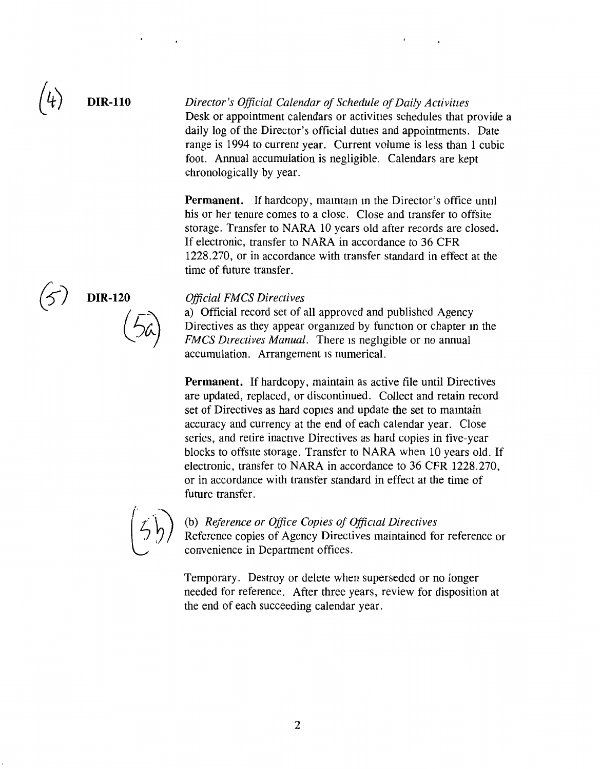#### **DIR-110**  *Director's Official Calendar of Schedule of Daily Activities* Desk or appointment calendars or activities schedules that provide a daily log of the Director's official duties and appointments. Date range is 1994 to current year. Current volume is less than 1 cubic foot. Annual accumulation is negligible. Calendars are kept chronologically by year.

**Permanent.** If hardcopy, mamtam m the Director's office until his or her tenure comes to a close. Close and transfer to offsite storage. Transfer to NARA 10 years old after records are closed. If electronic, transfer to NARA in accordance to 36 CFR 1228.270, or in accordance with transfer standard in effect at the time of future transfer.

**DIR-120** 

#### *Official FMCS Directives*

a) Official record set of all approved and published Agency Directives as they appear orgamzed by function or chapter m the *FMCS Directives Manual.* There is negligible or no annual accumulation. Arrangement is numerical.

**Permanent.** If hardcopy, maintain as active file until Directives are updated, replaced, or discontinued. Collect and retain record set of Directives as hard copies and update the set to maintain accuracy and currency at the end of each calendar year. Close series, and retire inactive Directives as hard copies in five-year blocks to offsite storage. Transfer to NARA when 10 years old. If electronic, transfer to NARA in accordance to 36 CFR 1228.270, or in accordance with transfer standard in effect at the time of future transfer.



(b) *Reference or Office Copies of Offictal Directives*  Reference copies of Agency Directives maintained for reference or convenience in Department offices.

Temporary. Destroy or delete when superseded or no longer needed for reference. After three years, review for disposition at the end of each succeeding calendar year.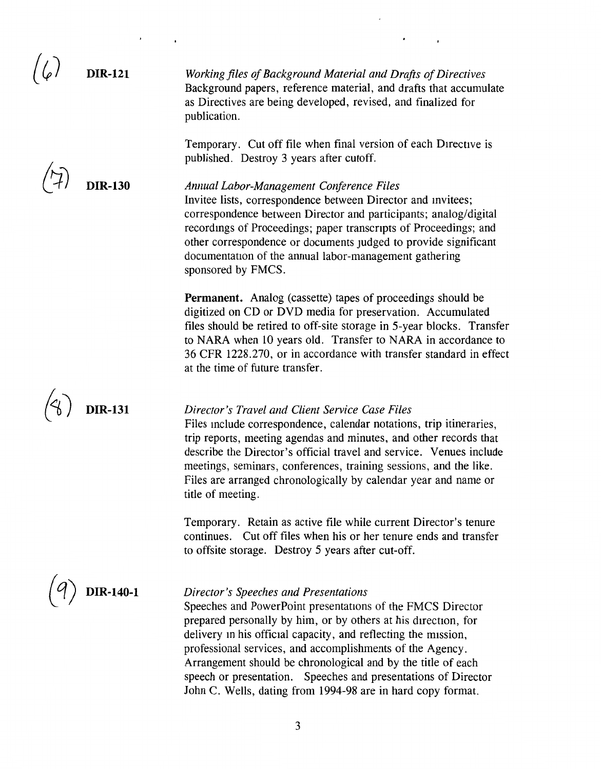ا کا

**DIR-121** 

**DIR-130** 

**Working files of Background Material and Drafts of Directives** Background papers, reference material, and drafts that accumulate as Directives are being developed, revised, and finalized for publication.

Temporary. Cut off file when final version of each Directive is published. Destroy 3 years after cutoff.

*Annual Labor-Management Conference Files*  Invitee lists, correspondence between Director and mvitees; correspondence between Director and participants; analog/digital recordmgs of Proceedings; paper transcripts of Proceedings; and other correspondence or documents Judged to provide significant documentation of the annual labor-management gathering sponsored by FMCS.

**Permanent.** Analog (cassette) tapes of proceedings should be digitized on CD or DVD media for preservation. Accumulated files should be retired to off-site storage in 5-year blocks. Transfer to NARA when 10 years old. Transfer to NARA in accordance to 36 CFR 1228.270, or in accordance with transfer standard in effect at the time of future transfer.

*Director's Travel and Client Service Case Files*  Files mclude correspondence, calendar notations, trip itineraries, trip reports, meeting agendas and minutes, and other records that describe the Director's official travel and service. Venues include meetings, seminars, conferences, training sessions, and the like. Files are arranged chronologically by calendar year and name or title of meeting.

Temporary. Retain as active file while current Director's tenure continues. Cut off files when his or her tenure ends and transfer to offsite storage. Destroy 5 years after cut-off.

## **DIR-140-1**

**DIR-131** 

#### *Director's Speeches and Presentations*

Speeches and PowerPoint presentations of the FMCS Director prepared personally by him, or by others at his direction, for delivery m his official capacity, and reflecting the mission, professional services, and accomplishments of the Agency. Arrangement should be chronological and by the title of each speech or presentation. Speeches and presentations of Director John C. Wells, dating from 1994-98 are in hard copy format.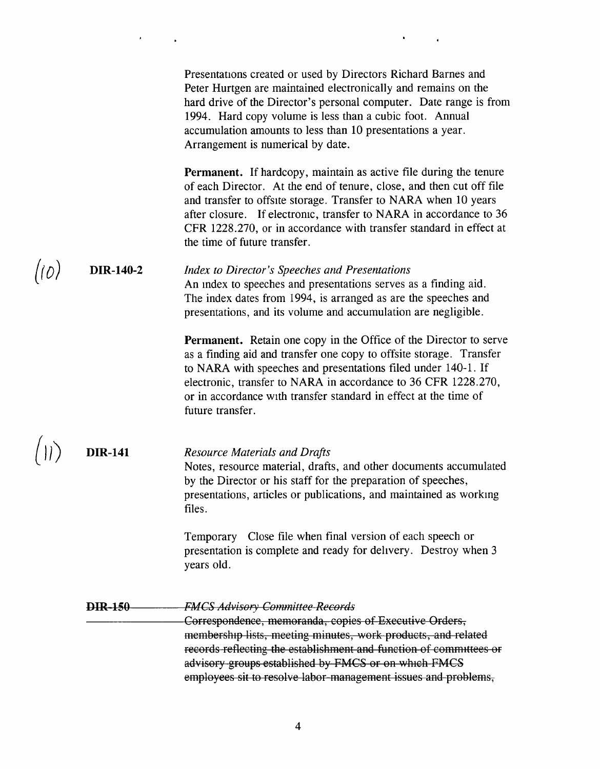Presentations created or used by Directors Richard Barnes and Peter Hurtgen are maintained electronically and remains on the hard drive of the Director's personal computer. Date range is from 1994. Hard copy volume is less than a cubic foot. Annual accumulation amounts to less than 10 presentations a year. Arrangement is numerical by date.

**Permanent.** If hardcopy, maintain as active file during the tenure of each Director. At the end of tenure, close, and then cut off file and transfer to offsite storage. Transfer to NARA when 10 years after closure. If electromc, transfer to NARA in accordance to 36 CFR 1228.270, or in accordance with transfer standard in effect at the time of future transfer.

#### $(10)$  DIR-140-2 *Index to Director's Speeches and Presentations*  An mdex to speeches and presentations serves as a finding aid. The index dates from 1994, is arranged as are the speeches and presentations, and its volume and accumulation are negligible.

**Permanent.** Retain one copy in the Office of the Director to serve as a finding aid and transfer one copy to offsite storage. Transfer to **NARA** with speeches and presentations filed under 140-1. If electronic, transfer to NARA in accordance to 36 CFR 1228.270, or in accordance with transfer standard in effect at the time of future transfer.

# $\binom{1}{1}$  **DIR-141**

### *Resource Materials and Drafts*

Notes, resource material, drafts, and other documents accumulated by the Director or his staff for the preparation of speeches, presentations, articles or publications, and maintained as workmg files.

Temporary Close file when final version of each speech or presentation is complete and ready for dehvery. Destroy when 3 years old.

#### **DIR 150**  *FMCS Advisory Committee Records*

Correspondence, memoranda, copies of Executive Orders, membership lists, meeting minutes, work products, and related records reflecting the establishment and function of committees or advisory groups established by FMCS or on which FMCS employees sit to resolve labor management issues and problems,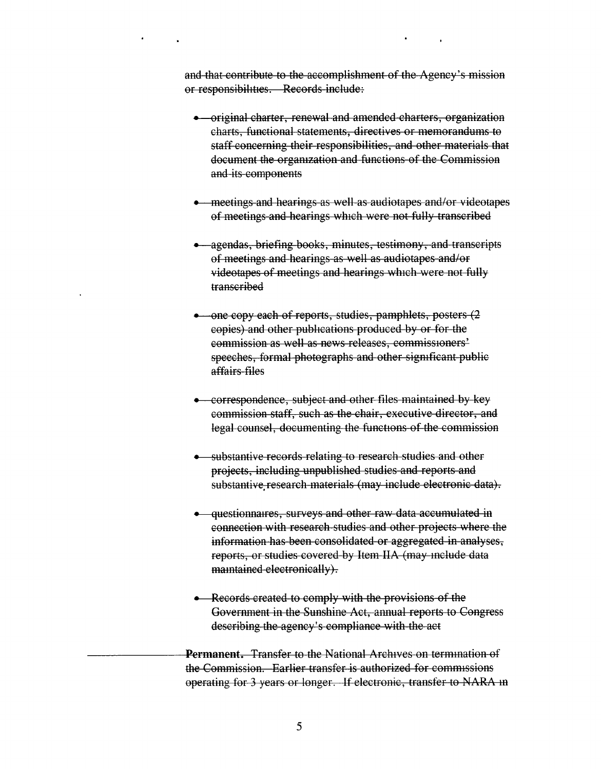and that contribute to the accomplishment of the Agency's mission or responsibihties. Records include:

- original charter, renewal and amended charters, organization charts, functional statements, directives or memorandums to staff concerning their responsibilities, and other materials that document the orgamzation and functions of the Commission and its components
- meetings and hearings as well as audiotapes and/or videotapes of meetings and hearings which were not fully transcribed
- agendas, briefing books, minutes, testimony, and transcripts of meetings and hearings as well as audiotapes and/or videotapes of meetings and hearings which were not fully transcribed
- one copy each of reports, studies, pamphlets, posters (2 copies) and other pubhcations produced by or for the commission as well as news releases, commiss10ners' speeches, formal photographs and other sigmficant public affairs files
- correspondence, subject and other files maintained by key commission staff, such as the chair, executive director, and legal counsel, documenting the functions of the commission
- substantive records relating to research studies and other prajects, including unpublished studies and reports and substantive research materials (may include electronic data).
- questionnaires, surveys and other raw data accumulated in connection with research studies and other prajects where the information has been consolidated or aggregated in analyses, reports, or studies covered by Item IIA (may mclude data maintained electronically).
- Records created to comply with the provisions of the Government in the Sunshine Act, annual reports to Congress describing the agency's compliance with the act

**Permanent.** Transfer to the National Archives on termmation of the Commission. Earlier transfer is authorized for commissions operating for 3 years or longer. If electronic, transfer to NARA m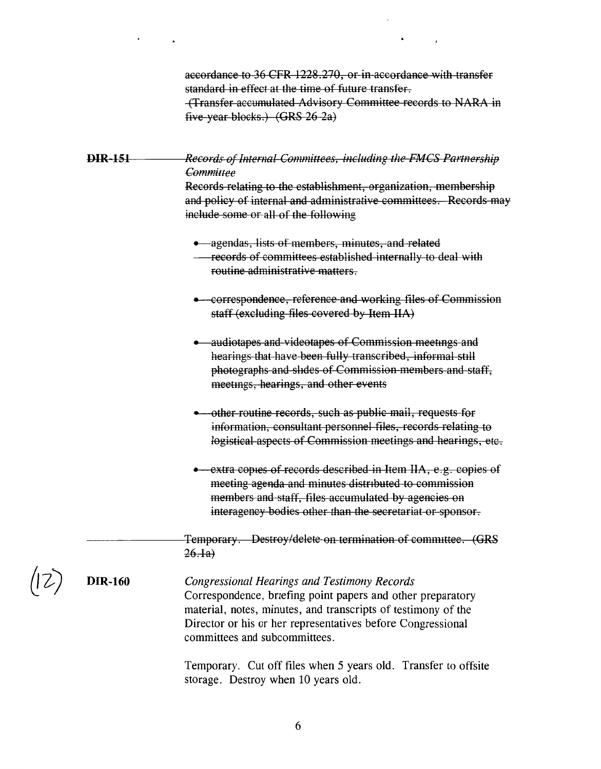accordance to 36 CFR 1228.270, or in accordance with transfer standard in effect at the time of future transfer. (Transfer accumulated Advisory Committee records to NARA in five year blocks.) (GRS 26 2a)

**DIR 151 Records of Internal Committees, including the FMCS Partnership** *Committee* 

Records relating to the establishment, organization, membership and policy of internal and administrative committees. Records may include some or all of the following

• agendas, lists of members, minutes, and related

- correspondence, reference and working files of Commission staff (excluding files covered by Item IIA)
- audiotapes and videotapes of Commission meetings and hearings that have been fully transcribed, informal still photographs and shdes of Commission members and staff, meetmgs, hearings, and other events
- other routine records, such as public mail, requests for information, consultant personnel files, records relating to logistical aspects of Commission meetings and hearings, etc.
- extra copies of records described in Item IIA, e.g. copies of meeting agenda and minutes distnbuted to commission members and staff, files accumulated by agencies on interagency bodies other than the secretariat or sponsor.

Temporary. Destroy/delete on termination of committee. **(GRS**   $26.1a)$ 

**DIR-160** 

*Congressional Hearings and Testimony Records*  Correspondence, briefing point papers and other preparatory material, notes, minutes, and transcripts of testimony of the Director or his or her representatives before Congressional committees and subcommittees.

Temporary. Cut off files when 5 years old. Transfer to offsite storage. Destroy when 10 years old.

records of committees established internally to deal with routine administrative matters.